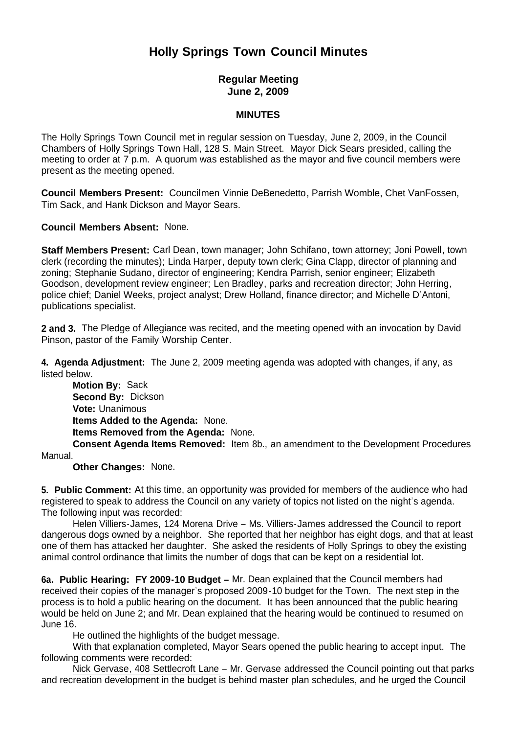# **Holly Springs Town Council Minutes**

## **Regular Meeting June 2, 2009**

#### **MINUTES**

The Holly Springs Town Council met in regular session on Tuesday, June 2, 2009, in the Council Chambers of Holly Springs Town Hall, 128 S. Main Street. Mayor Dick Sears presided, calling the meeting to order at 7 p.m. A quorum was established as the mayor and five council members were present as the meeting opened.

**Council Members Present:** Councilmen Vinnie DeBenedetto, Parrish Womble, Chet VanFossen, Tim Sack, and Hank Dickson and Mayor Sears.

**Council Members Absent:** None.

**Staff Members Present:** Carl Dean, town manager; John Schifano, town attorney; Joni Powell, town clerk (recording the minutes); Linda Harper, deputy town clerk; Gina Clapp, director of planning and zoning; Stephanie Sudano, director of engineering; Kendra Parrish, senior engineer; Elizabeth Goodson, development review engineer; Len Bradley, parks and recreation director; John Herring, police chief; Daniel Weeks, project analyst; Drew Holland, finance director; and Michelle D'Antoni, publications specialist.

**2 and 3.** The Pledge of Allegiance was recited, and the meeting opened with an invocation by David Pinson, pastor of the Family Worship Center.

**4. Agenda Adjustment:** The June 2, 2009 meeting agenda was adopted with changes, if any, as listed below.

 **Motion By:** Sack **Second By:** Dickson **Vote:** Unanimous  **Items Added to the Agenda:** None. **Items Removed from the Agenda:** None. **Consent Agenda Items Removed:** Item 8b., an amendment to the Development Procedures

Manual.

**Other Changes:** None.

**5. Public Comment:** At this time, an opportunity was provided for members of the audience who had registered to speak to address the Council on any variety of topics not listed on the night's agenda. The following input was recorded:

 Helen Villiers-James, 124 Morena Drive – Ms. Villiers-James addressed the Council to report dangerous dogs owned by a neighbor. She reported that her neighbor has eight dogs, and that at least one of them has attacked her daughter. She asked the residents of Holly Springs to obey the existing animal control ordinance that limits the number of dogs that can be kept on a residential lot.

**6a. Public Hearing: FY 2009-10 Budget –** Mr. Dean explained that the Council members had received their copies of the manager's proposed 2009-10 budget for the Town. The next step in the process is to hold a public hearing on the document. It has been announced that the public hearing would be held on June 2; and Mr. Dean explained that the hearing would be continued to resumed on June 16.

He outlined the highlights of the budget message.

With that explanation completed, Mayor Sears opened the public hearing to accept input. The following comments were recorded:

Nick Gervase, 408 Settlecroft Lane - Mr. Gervase addressed the Council pointing out that parks and recreation development in the budget is behind master plan schedules, and he urged the Council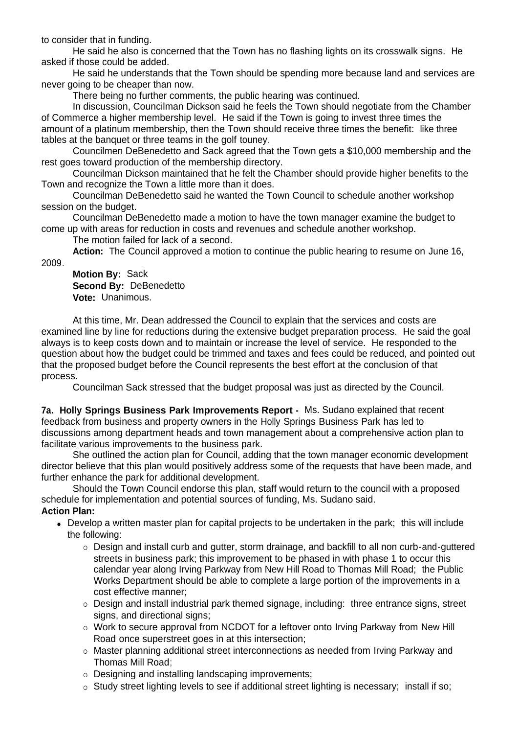to consider that in funding.

He said he also is concerned that the Town has no flashing lights on its crosswalk signs. He asked if those could be added.

He said he understands that the Town should be spending more because land and services are never going to be cheaper than now.

There being no further comments, the public hearing was continued.

In discussion, Councilman Dickson said he feels the Town should negotiate from the Chamber of Commerce a higher membership level. He said if the Town is going to invest three times the amount of a platinum membership, then the Town should receive three times the benefit: like three tables at the banquet or three teams in the golf touney.

Councilmen DeBenedetto and Sack agreed that the Town gets a \$10,000 membership and the rest goes toward production of the membership directory.

Councilman Dickson maintained that he felt the Chamber should provide higher benefits to the Town and recognize the Town a little more than it does.

Councilman DeBenedetto said he wanted the Town Council to schedule another workshop session on the budget.

Councilman DeBenedetto made a motion to have the town manager examine the budget to come up with areas for reduction in costs and revenues and schedule another workshop.

The motion failed for lack of a second.

**Action:** The Council approved a motion to continue the public hearing to resume on June 16, 2009.

**Motion By:** Sack **Second By:** DeBenedetto **Vote:** Unanimous.

 At this time, Mr. Dean addressed the Council to explain that the services and costs are examined line by line for reductions during the extensive budget preparation process. He said the goal always is to keep costs down and to maintain or increase the level of service. He responded to the question about how the budget could be trimmed and taxes and fees could be reduced, and pointed out that the proposed budget before the Council represents the best effort at the conclusion of that process.

Councilman Sack stressed that the budget proposal was just as directed by the Council.

**7a. Holly Springs Business Park Improvements Report -** Ms. Sudano explained that recent feedback from business and property owners in the Holly Springs Business Park has led to discussions among department heads and town management about a comprehensive action plan to facilitate various improvements to the business park.

 She outlined the action plan for Council, adding that the town manager economic development director believe that this plan would positively address some of the requests that have been made, and further enhance the park for additional development.

 Should the Town Council endorse this plan, staff would return to the council with a proposed schedule for implementation and potential sources of funding, Ms. Sudano said. **Action Plan:**

- Develop a written master plan for capital projects to be undertaken in the park; this will include the following:
	- Design and install curb and gutter, storm drainage, and backfill to all non curb-and-guttered streets in business park; this improvement to be phased in with phase 1 to occur this calendar year along Irving Parkway from New Hill Road to Thomas Mill Road; the Public Works Department should be able to complete a large portion of the improvements in a cost effective manner;
	- Design and install industrial park themed signage, including: three entrance signs, street signs, and directional signs;
	- Work to secure approval from NCDOT for a leftover onto Irving Parkway from New Hill Road once superstreet goes in at this intersection;
	- Master planning additional street interconnections as needed from Irving Parkway and Thomas Mill Road;
	- Designing and installing landscaping improvements;
	- o Study street lighting levels to see if additional street lighting is necessary; install if so;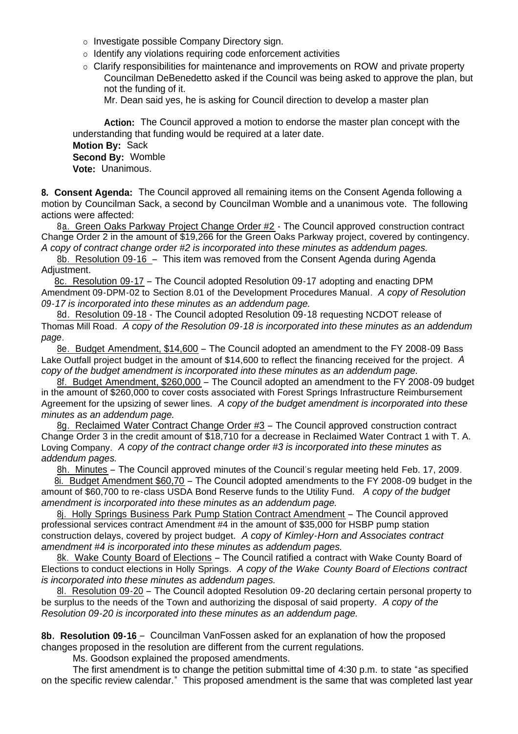- o Investigate possible Company Directory sign.
- $\circ$  Identify any violations requiring code enforcement activities
- $\circ$  Clarify responsibilities for maintenance and improvements on ROW and private property Councilman DeBenedetto asked if the Council was being asked to approve the plan, but not the funding of it.

Mr. Dean said yes, he is asking for Council direction to develop a master plan

**Action:** The Council approved a motion to endorse the master plan concept with the understanding that funding would be required at a later date. **Motion By:** Sack **Second By:** Womble **Vote:** Unanimous.

**8. Consent Agenda:** The Council approved all remaining items on the Consent Agenda following a motion by Councilman Sack, a second by Councilman Womble and a unanimous vote. The following actions were affected:

 8a. Green Oaks Parkway Project Change Order #2 - The Council approved construction contract Change Order 2 in the amount of \$19,266 for the Green Oaks Parkway project, covered by contingency. *A copy of contract change order #2 is incorporated into these minutes as addendum pages.*

8b. Resolution 09-16 – This item was removed from the Consent Agenda during Agenda Adjustment.

 8c. Resolution 09-17 – The Council adopted Resolution 09-17 adopting and enacting DPM Amendment 09-DPM-02 to Section 8.01 of the Development Procedures Manual. *A copy of Resolution 09-17 is incorporated into these minutes as an addendum page.*

8d. Resolution 09-18 - The Council adopted Resolution 09-18 requesting NCDOT release of Thomas Mill Road. *A copy of the Resolution 09-18 is incorporated into these minutes as an addendum page.* 

8e. Budget Amendment, \$14,600 – The Council adopted an amendment to the FY 2008-09 Bass Lake Outfall project budget in the amount of \$14,600 to reflect the financing received for the project. *A copy of the budget amendment is incorporated into these minutes as an addendum page.* 

 8f. Budget Amendment, \$260,000 – The Council adopted an amendment to the FY 2008-09 budget in the amount of \$260,000 to cover costs associated with Forest Springs Infrastructure Reimbursement Agreement for the upsizing of sewer lines. *A copy of the budget amendment is incorporated into these minutes as an addendum page.* 

 8g. Reclaimed Water Contract Change Order #3 – The Council approved construction contract Change Order 3 in the credit amount of \$18,710 for a decrease in Reclaimed Water Contract 1 with T. A. Loving Company. *A copy of the contract change order #3 is incorporated into these minutes as addendum pages.* 

8h. Minutes – The Council approved minutes of the Council's regular meeting held Feb. 17, 2009.

8i. Budget Amendment \$60,70 – The Council adopted amendments to the FY 2008-09 budget in the amount of \$60,700 to re-class USDA Bond Reserve funds to the Utility Fund. *A copy of the budget amendment is incorporated into these minutes as an addendum page.* 

 8j. Holly Springs Business Park Pump Station Contract Amendment – The Council approved professional services contract Amendment #4 in the amount of \$35,000 for HSBP pump station construction delays, covered by project budget. *A copy of Kimley-Horn and Associates contract amendment #4 is incorporated into these minutes as addendum pages.* 

8k. Wake County Board of Elections - The Council ratified a contract with Wake County Board of Elections to conduct elections in Holly Springs. *A copy of the Wake County Board of Elections contract is incorporated into these minutes as addendum pages.* 

8l. Resolution 09-20 – The Council adopted Resolution 09-20 declaring certain personal property to be surplus to the needs of the Town and authorizing the disposal of said property. *A copy of the Resolution 09-20 is incorporated into these minutes as an addendum page.* 

**8b. Resolution 09-16** – Councilman VanFossen asked for an explanation of how the proposed changes proposed in the resolution are different from the current regulations.

Ms. Goodson explained the proposed amendments.

 The first amendment is to change the petition submittal time of 4:30 p.m. to state "as specified on the specific review calendar." This proposed amendment is the same that was completed last year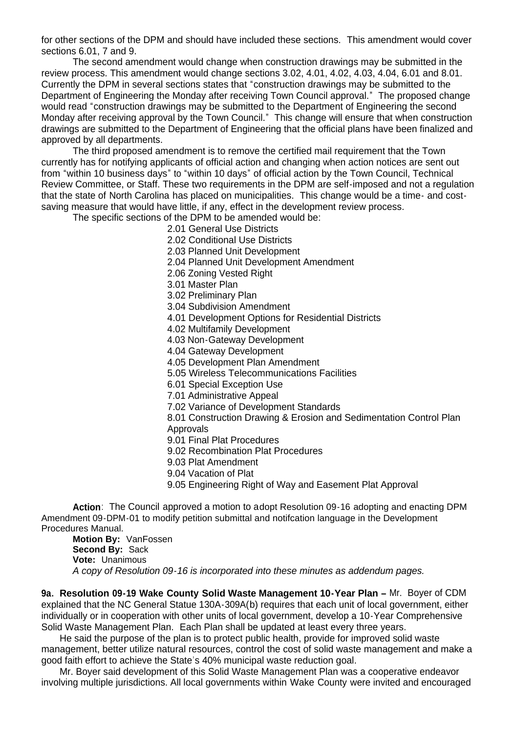for other sections of the DPM and should have included these sections. This amendment would cover sections 6.01, 7 and 9.

 The second amendment would change when construction drawings may be submitted in the review process. This amendment would change sections 3.02, 4.01, 4.02, 4.03, 4.04, 6.01 and 8.01. Currently the DPM in several sections states that "construction drawings may be submitted to the Department of Engineering the Monday after receiving Town Council approval." The proposed change would read "construction drawings may be submitted to the Department of Engineering the second Monday after receiving approval by the Town Council." This change will ensure that when construction drawings are submitted to the Department of Engineering that the official plans have been finalized and approved by all departments.

 The third proposed amendment is to remove the certified mail requirement that the Town currently has for notifying applicants of official action and changing when action notices are sent out from "within 10 business days" to "within 10 days" of official action by the Town Council, Technical Review Committee, or Staff. These two requirements in the DPM are self-imposed and not a regulation that the state of North Carolina has placed on municipalities. This change would be a time- and costsaving measure that would have little, if any, effect in the development review process.

The specific sections of the DPM to be amended would be:

2.01 General Use Districts

2.02 Conditional Use Districts

- 2.03 Planned Unit Development
- 2.04 Planned Unit Development Amendment
- 2.06 Zoning Vested Right
- 3.01 Master Plan

3.02 Preliminary Plan

- 3.04 Subdivision Amendment
- 4.01 Development Options for Residential Districts

4.02 Multifamily Development

4.03 Non-Gateway Development

4.04 Gateway Development

4.05 Development Plan Amendment

5.05 Wireless Telecommunications Facilities

6.01 Special Exception Use

7.01 Administrative Appeal

7.02 Variance of Development Standards

8.01 Construction Drawing & Erosion and Sedimentation Control Plan **Approvals** 

9.01 Final Plat Procedures

9.02 Recombination Plat Procedures

9.03 Plat Amendment

- 9.04 Vacation of Plat
- 9.05 Engineering Right of Way and Easement Plat Approval

 **Action**: The Council approved a motion to adopt Resolution 09-16 adopting and enacting DPM Amendment 09-DPM-01 to modify petition submittal and notifcation language in the Development Procedures Manual.

 **Motion By:** VanFossen **Second By:** Sack **Vote:** Unanimous *A copy of Resolution 09-16 is incorporated into these minutes as addendum pages.*

**9a. Resolution 09-19 Wake County Solid Waste Management 10-Year Plan –** Mr. Boyer of CDM explained that the NC General Statue 130A-309A(b) requires that each unit of local government, either individually or in cooperation with other units of local government, develop a 10-Year Comprehensive Solid Waste Management Plan. Each Plan shall be updated at least every three years.

 He said the purpose of the plan is to protect public health, provide for improved solid waste management, better utilize natural resources, control the cost of solid waste management and make a good faith effort to achieve the State's 40% municipal waste reduction goal.

 Mr. Boyer said development of this Solid Waste Management Plan was a cooperative endeavor involving multiple jurisdictions. All local governments within Wake County were invited and encouraged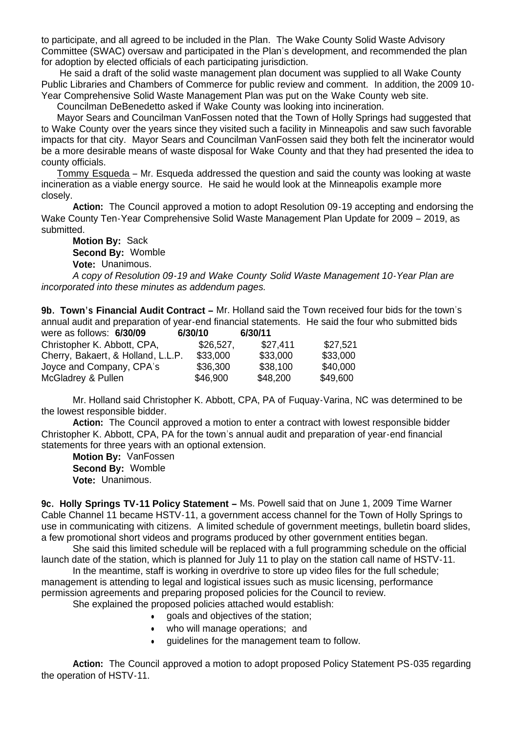to participate, and all agreed to be included in the Plan. The Wake County Solid Waste Advisory Committee (SWAC) oversaw and participated in the Plan's development, and recommended the plan for adoption by elected officials of each participating jurisdiction.

 He said a draft of the solid waste management plan document was supplied to all Wake County Public Libraries and Chambers of Commerce for public review and comment. In addition, the 2009 10- Year Comprehensive Solid Waste Management Plan was put on the Wake County web site.

Councilman DeBenedetto asked if Wake County was looking into incineration.

 Mayor Sears and Councilman VanFossen noted that the Town of Holly Springs had suggested that to Wake County over the years since they visited such a facility in Minneapolis and saw such favorable impacts for that city. Mayor Sears and Councilman VanFossen said they both felt the incinerator would be a more desirable means of waste disposal for Wake County and that they had presented the idea to county officials.

 Tommy Esqueda – Mr. Esqueda addressed the question and said the county was looking at waste incineration as a viable energy source. He said he would look at the Minneapolis example more closely.

**Action:** The Council approved a motion to adopt Resolution 09-19 accepting and endorsing the Wake County Ten-Year Comprehensive Solid Waste Management Plan Update for 2009 – 2019, as submitted.

**Motion By:** Sack **Second By:** Womble

**Vote:** Unanimous.

*A copy of Resolution 09-19 and Wake County Solid Waste Management 10-Year Plan are incorporated into these minutes as addendum pages.*

**9b. Town's Financial Audit Contract –** Mr. Holland said the Town received four bids for the town's annual audit and preparation of year-end financial statements. He said the four who submitted bids<br>6/20/44 were as follows: **6/30/09 6/30/10 6/30/11**

| were as follows: 6/30/09           | 6/30/10   | 6/30/11  |          |
|------------------------------------|-----------|----------|----------|
| Christopher K. Abbott, CPA,        | \$26,527, | \$27.411 | \$27,521 |
| Cherry, Bakaert, & Holland, L.L.P. | \$33,000  | \$33,000 | \$33,000 |
| Joyce and Company, CPA's           | \$36,300  | \$38,100 | \$40,000 |
| McGladrey & Pullen                 | \$46,900  | \$48,200 | \$49,600 |

Mr. Holland said Christopher K. Abbott, CPA, PA of Fuquay-Varina, NC was determined to be the lowest responsible bidder.

Action: The Council approved a motion to enter a contract with lowest responsible bidder Christopher K. Abbott, CPA, PA for the town's annual audit and preparation of year-end financial statements for three years with an optional extension.

**Motion By:** VanFossen **Second By:** Womble **Vote:** Unanimous.

**9c. Holly Springs TV-11 Policy Statement –** Ms. Powell said that on June 1, 2009 Time Warner Cable Channel 11 became HSTV-11, a government access channel for the Town of Holly Springs to use in communicating with citizens. A limited schedule of government meetings, bulletin board slides, a few promotional short videos and programs produced by other government entities began.

 She said this limited schedule will be replaced with a full programming schedule on the official launch date of the station, which is planned for July 11 to play on the station call name of HSTV-11.

 In the meantime, staff is working in overdrive to store up video files for the full schedule; management is attending to legal and logistical issues such as music licensing, performance permission agreements and preparing proposed policies for the Council to review.

She explained the proposed policies attached would establish:

- goals and objectives of the station;
- who will manage operations; and
- guidelines for the management team to follow.

**Action:** The Council approved a motion to adopt proposed Policy Statement PS-035 regarding the operation of HSTV-11.